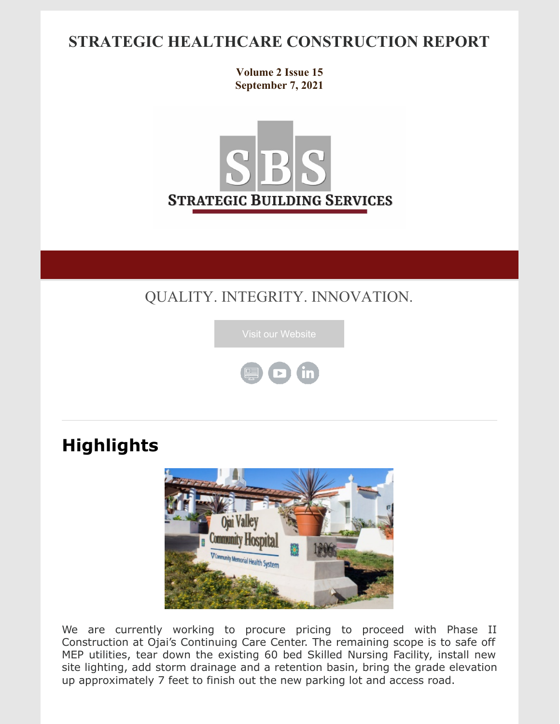## **STRATEGIC HEALTHCARE CONSTRUCTION REPORT**

**Volume 2 Issue 15 September 7, 2021**



## QUALITY. INTEGRITY. INNOVATION.





# **Highlights**



We are currently working to procure pricing to proceed with Phase II Construction at Ojai's Continuing Care Center. The remaining scope is to safe off MEP utilities, tear down the existing 60 bed Skilled Nursing Facility, install new site lighting, add storm drainage and a retention basin, bring the grade elevation up approximately 7 feet to finish out the new parking lot and access road.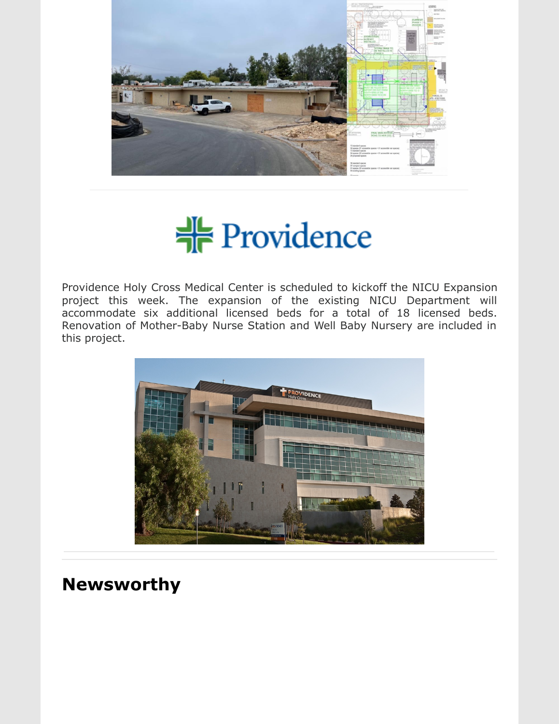



Providence Holy Cross Medical Center is scheduled to kickoff the NICU Expansion project this week. The expansion of the existing NICU Department will accommodate six additional licensed beds for a total of 18 licensed beds. Renovation of Mother-Baby Nurse Station and Well Baby Nursery are included in this project.



# **Newsworthy**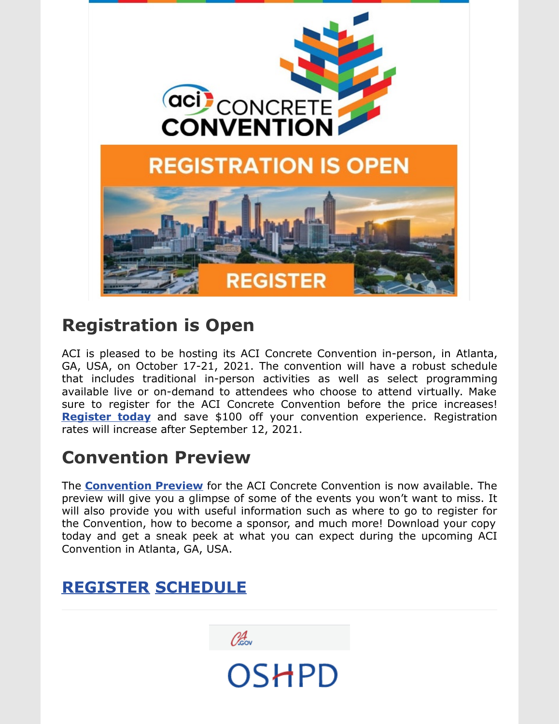

# **[Registration](http://acii.informz.net/z/cjUucD9taT0xMDEyNzU1MiZwPTEmdT0xMTUxMjU3ODUyJmxpPTg4MjI5NTkx/index.html) is Open**

ACI is pleased to be hosting its ACI Concrete Convention in-person, in Atlanta, GA, USA, on October 17-21, 2021. The convention will have a robust schedule that includes traditional in-person activities as well as select programming available live or on-demand to attendees who choose to attend virtually. Make sure to register for the ACI Concrete Convention before the price increases! **[Register](http://acii.informz.net/z/cjUucD9taT0xMDEyNzU1MiZwPTEmdT0xMTUxMjU3ODUyJmxpPTg4MjI5NTky/index.html) today** and save \$100 off your convention experience. Registration rates will increase after September 12, 2021.

# **[Convention](http://acii.informz.net/z/cjUucD9taT0xMDEyNzU1MiZwPTEmdT0xMTUxMjU3ODUyJmxpPTg4MjI5NTkz/index.html) Preview**

The **[Convention](http://acii.informz.net/z/cjUucD9taT0xMDEyNzU1MiZwPTEmdT0xMTUxMjU3ODUyJmxpPTg4MjI5NTk0/index.html) Preview** for the ACI Concrete Convention is now available. The preview will give you a glimpse of some of the events you won't want to miss. It will also provide you with useful information such as where to go to register for the Convention, how to become a sponsor, and much more! Download your copy today and get a sneak peek at what you can expect during the upcoming ACI Convention in Atlanta, GA, USA.

**OSHPD** 

## **[REGISTER](https://www.concrete.org/events/conventions/currentconvention.aspx?&utm_campaign=f21_july21&utm_medium=email&utm_source=register_button) [SCHEDULE](https://www.concrete.org/events/conventions/currentconvention/sessionsandevents.aspx?&utm_campaign=f21_july21&utm_medium=email&utm_source=sessions_button)**

Okov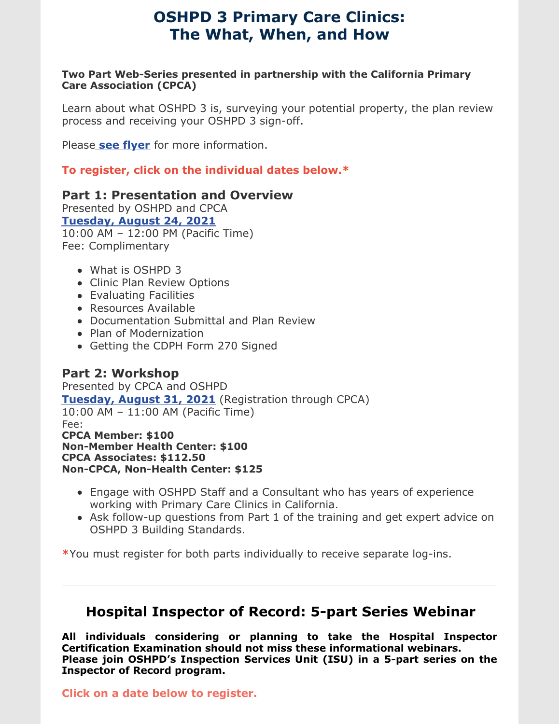### **OSHPD 3 Primary Care Clinics: The What, When, and How**

#### **Two Part Web-Series presented in partnership with the California Primary Care Association (CPCA)**

Learn about what OSHPD 3 is, surveying your potential property, the plan review process and receiving your OSHPD 3 sign-off.

Pleas[e](https://oshpd.ca.gov/document/bsu-webinar-flyer-oshpd-3-primary-care-clinics/) **see [flyer](https://oshpd.ca.gov/document/bsu-webinar-flyer-oshpd-3-primary-care-clinics/)** for more information.

**To register, click on the individual dates below.\***

### **Part 1: Presentation and Overview**

Presented by OSHPD and CPCA **[Tuesday,](https://attendee.gotowebinar.com/register/5402460694414525451) August 24, 2021** 10:00 AM – 12:00 PM (Pacific Time) Fee: Complimentary

- What is OSHPD 3
- Clinic Plan Review Options
- Evaluating Facilities
- Resources Available
- Documentation Submittal and Plan Review
- Plan of Modernization
- Getting the CDPH Form 270 Signed

### **Part 2: Workshop**

Presented by CPCA and OSHPD **[Tuesday,](https://www.cpca.org/CPCA/Training_Events/Event_Display.aspx?EventKey=1WL083121) August 31, 2021** (Registration through CPCA) 10:00 AM – 11:00 AM (Pacific Time) Fee: **CPCA Member: \$100 Non-Member Health Center: \$100 CPCA Associates: \$112.50 Non-CPCA, Non-Health Center: \$125**

- Engage with OSHPD Staff and a Consultant who has years of experience working with Primary Care Clinics in California.
- Ask follow-up questions from Part 1 of the training and get expert advice on OSHPD 3 Building Standards.

**\***You must register for both parts individually to receive separate log-ins.

### **Hospital Inspector of Record: 5-part Series Webinar**

**All individuals considering or planning to take the Hospital Inspector Certification Examination should not miss these informational webinars. Please join OSHPD's Inspection Services Unit (ISU) in a 5-part series on the Inspector of Record program.**

**Click on a date below to register.**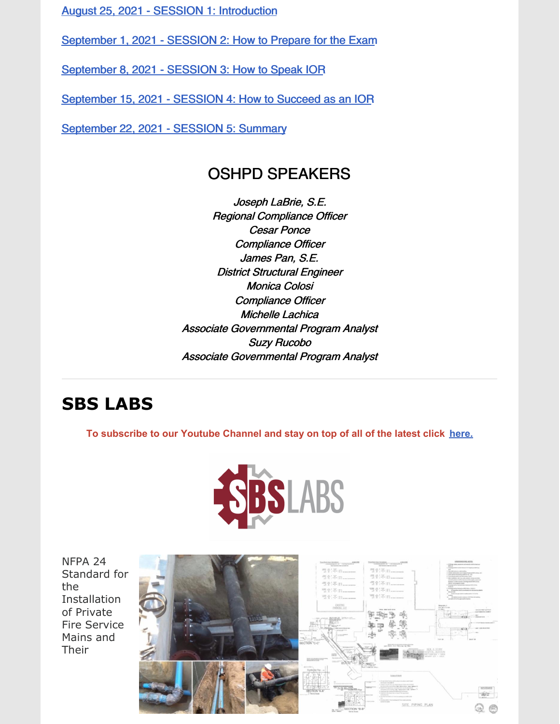August 25, 2021 - SESSION 1: [Introduction](https://oshpd.us3.list-manage.com/track/click?u=b5eac4ceeea1d878cfffc1696&id=cd3be36ba3&e=bf3938caab)

[September](https://oshpd.us3.list-manage.com/track/click?u=b5eac4ceeea1d878cfffc1696&id=3196cade21&e=bf3938caab) 1, 2021 - SESSION 2: How to Prepare for the Exam

[September](https://oshpd.us3.list-manage.com/track/click?u=b5eac4ceeea1d878cfffc1696&id=73248423ca&e=bf3938caab) 8, 2021 - SESSION 3: How to Speak IOR

[September](https://oshpd.us3.list-manage.com/track/click?u=b5eac4ceeea1d878cfffc1696&id=9b90e89649&e=bf3938caab) 15, 2021 - SESSION 4: How to Succeed as an IOR

[September](https://oshpd.us3.list-manage.com/track/click?u=b5eac4ceeea1d878cfffc1696&id=a438278726&e=bf3938caab) 22, 2021 - SESSION 5: Summary

### OSHPD SPEAKERS

Joseph LaBrie, S.E. Regional Compliance Officer Cesar Ponce Compliance Officer James Pan, S.E. District Structural Engineer Monica Colosi Compliance Officer Michelle Lachica Associate Governmental Program Analyst Suzy Rucobo Associate Governmental Program Analyst

## **SBS LABS**

**To subscribe to our Youtube Channel and stay on top of all of the latest click [here.](https://www.youtube.com/channel/UCfR7qiqf9X9tzNf1jD-an_Q)**



NFPA 24 Standard for the **Installation** of Private Fire Service Mains and Their

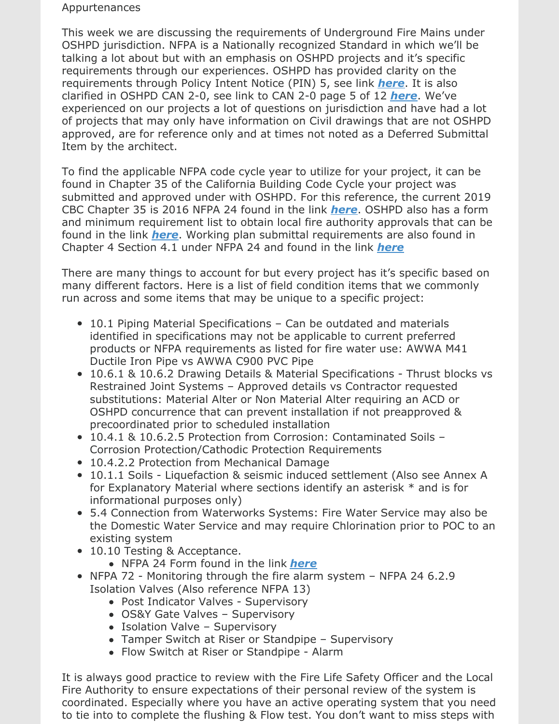#### Appurtenances

This week we are discussing the requirements of Underground Fire Mains under OSHPD jurisdiction. NFPA is a Nationally recognized Standard in which we'll be talking a lot about but with an emphasis on OSHPD projects and it's specific requirements through our experiences. OSHPD has provided clarity on the requirements through Policy Intent Notice (PIN) 5, see link *[here](https://files.constantcontact.com/7250dab0801/61fcc7e9-d4bf-4212-aaf0-4e7afafd6843.pdf)*. It is also clarified in OSHPD CAN 2-0, see link to CAN 2-0 page 5 of 12 *[here](https://files.constantcontact.com/7250dab0801/f2a623e1-a07c-4b65-98d7-737da10e2a5e.pdf)*. We've experienced on our projects a lot of questions on jurisdiction and have had a lot of projects that may only have information on Civil drawings that are not OSHPD approved, are for reference only and at times not noted as a Deferred Submittal Item by the architect.

To find the applicable NFPA code cycle year to utilize for your project, it can be found in Chapter 35 of the California Building Code Cycle your project was submitted and approved under with OSHPD. For this reference, the current 2019 CBC Chapter 35 is 2016 NFPA 24 found in the link *[here](https://files.constantcontact.com/7250dab0801/4181f255-5bf0-4996-8acc-a5af9463df88.pdf)*. OSHPD also has a form and minimum requirement list to obtain local fire authority approvals that can be found in the link *[here](https://files.constantcontact.com/7250dab0801/a6101f78-014c-40b2-8b71-47970c50908a.pdf)*. Working plan submittal requirements are also found in Chapter 4 Section 4.1 under NFPA 24 and found in the link *[here](https://files.constantcontact.com/7250dab0801/7c378957-4063-457c-bd1f-8c4dd2bbcac9.pdf)*

There are many things to account for but every project has it's specific based on many different factors. Here is a list of field condition items that we commonly run across and some items that may be unique to a specific project:

- 10.1 Piping Material Specifications Can be outdated and materials identified in specifications may not be applicable to current preferred products or NFPA requirements as listed for fire water use: AWWA M41 Ductile Iron Pipe vs AWWA C900 PVC Pipe
- 10.6.1 & 10.6.2 Drawing Details & Material Specifications Thrust blocks vs Restrained Joint Systems – Approved details vs Contractor requested substitutions: Material Alter or Non Material Alter requiring an ACD or OSHPD concurrence that can prevent installation if not preapproved & precoordinated prior to scheduled installation
- 10.4.1 & 10.6.2.5 Protection from Corrosion: Contaminated Soils Corrosion Protection/Cathodic Protection Requirements
- 10.4.2.2 Protection from Mechanical Damage
- 10.1.1 Soils Liquefaction & seismic induced settlement (Also see Annex A for Explanatory Material where sections identify an asterisk \* and is for informational purposes only)
- 5.4 Connection from Waterworks Systems: Fire Water Service may also be the Domestic Water Service and may require Chlorination prior to POC to an existing system
- 10.10 Testing & Acceptance.
	- NFPA 24 Form found in the link *[here](https://files.constantcontact.com/7250dab0801/289d9a5c-1cdb-42e8-9651-e4c0aae0344d.pdf)*
- NFPA 72 Monitoring through the fire alarm system NFPA 24 6.2.9 Isolation Valves (Also reference NFPA 13)
	- Post Indicator Valves Supervisory
	- OS&Y Gate Valves Supervisory
	- Isolation Valve Supervisory
	- Tamper Switch at Riser or Standpipe Supervisory
	- Flow Switch at Riser or Standpipe Alarm

It is always good practice to review with the Fire Life Safety Officer and the Local Fire Authority to ensure expectations of their personal review of the system is coordinated. Especially where you have an active operating system that you need to tie into to complete the flushing & Flow test. You don't want to miss steps with